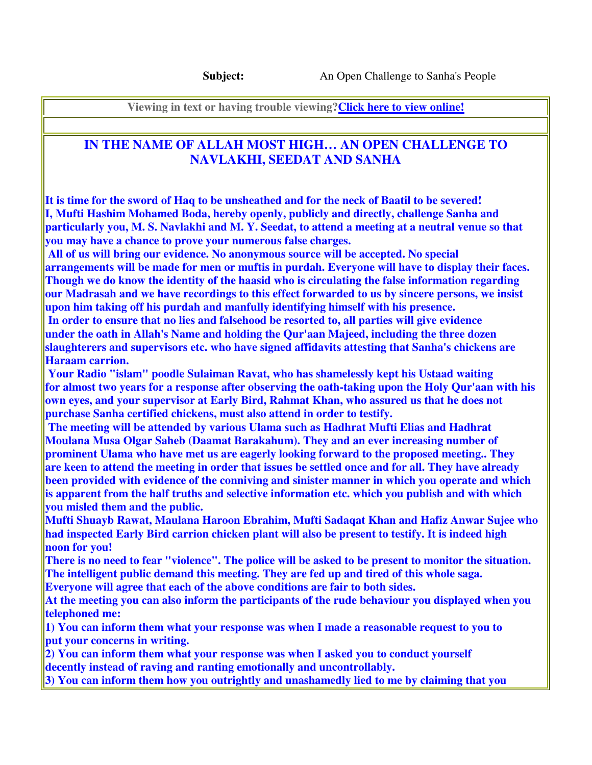**Viewing in text or having trouble viewing?Click here to view online!**

## **IN THE NAME OF ALLAH MOST HIGH… AN OPEN CHALLENGE TO NAVLAKHI, SEEDAT AND SANHA**

**It is time for the sword of Haq to be unsheathed and for the neck of Baatil to be severed! I, Mufti Hashim Mohamed Boda, hereby openly, publicly and directly, challenge Sanha and particularly you, M. S. Navlakhi and M. Y. Seedat, to attend a meeting at a neutral venue so that you may have a chance to prove your numerous false charges.** 

 **All of us will bring our evidence. No anonymous source will be accepted. No special arrangements will be made for men or muftis in purdah. Everyone will have to display their faces. Though we do know the identity of the haasid who is circulating the false information regarding our Madrasah and we have recordings to this effect forwarded to us by sincere persons, we insist upon him taking off his purdah and manfully identifying himself with his presence.** 

 **In order to ensure that no lies and falsehood be resorted to, all parties will give evidence under the oath in Allah's Name and holding the Qur'aan Majeed, including the three dozen slaughterers and supervisors etc. who have signed affidavits attesting that Sanha's chickens are Haraam carrion.** 

 **Your Radio "islam" poodle Sulaiman Ravat, who has shamelessly kept his Ustaad waiting for almost two years for a response after observing the oath-taking upon the Holy Qur'aan with his own eyes, and your supervisor at Early Bird, Rahmat Khan, who assured us that he does not purchase Sanha certified chickens, must also attend in order to testify.** 

 **The meeting will be attended by various Ulama such as Hadhrat Mufti Elias and Hadhrat Moulana Musa Olgar Saheb (Daamat Barakahum). They and an ever increasing number of prominent Ulama who have met us are eagerly looking forward to the proposed meeting.. They are keen to attend the meeting in order that issues be settled once and for all. They have already been provided with evidence of the conniving and sinister manner in which you operate and which is apparent from the half truths and selective information etc. which you publish and with which you misled them and the public.** 

**Mufti Shuayb Rawat, Maulana Haroon Ebrahim, Mufti Sadaqat Khan and Hafiz Anwar Sujee who had inspected Early Bird carrion chicken plant will also be present to testify. It is indeed high noon for you!** 

**There is no need to fear "violence". The police will be asked to be present to monitor the situation. The intelligent public demand this meeting. They are fed up and tired of this whole saga.** 

**Everyone will agree that each of the above conditions are fair to both sides.** 

**At the meeting you can also inform the participants of the rude behaviour you displayed when you telephoned me:** 

**1) You can inform them what your response was when I made a reasonable request to you to put your concerns in writing.** 

**2) You can inform them what your response was when I asked you to conduct yourself decently instead of raving and ranting emotionally and uncontrollably.** 

**3) You can inform them how you outrightly and unashamedly lied to me by claiming that you**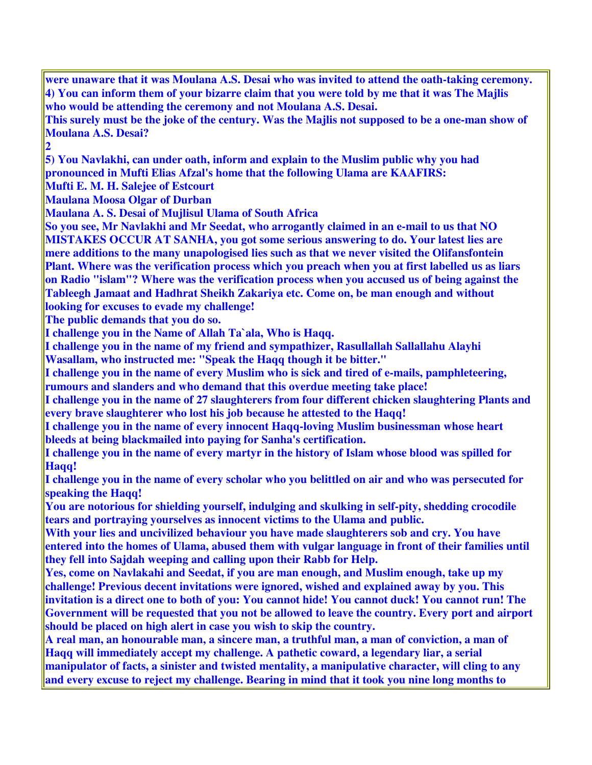**were unaware that it was Moulana A.S. Desai who was invited to attend the oath-taking ceremony. 4) You can inform them of your bizarre claim that you were told by me that it was The Majlis who would be attending the ceremony and not Moulana A.S. Desai. This surely must be the joke of the century. Was the Majlis not supposed to be a one-man show of Moulana A.S. Desai? 2 5) You Navlakhi, can under oath, inform and explain to the Muslim public why you had pronounced in Mufti Elias Afzal's home that the following Ulama are KAAFIRS: Mufti E. M. H. Salejee of Estcourt Maulana Moosa Olgar of Durban Maulana A. S. Desai of Mujlisul Ulama of South Africa So you see, Mr Navlakhi and Mr Seedat, who arrogantly claimed in an e-mail to us that NO MISTAKES OCCUR AT SANHA, you got some serious answering to do. Your latest lies are mere additions to the many unapologised lies such as that we never visited the Olifansfontein Plant. Where was the verification process which you preach when you at first labelled us as liars on Radio "islam"? Where was the verification process when you accused us of being against the Tableegh Jamaat and Hadhrat Sheikh Zakariya etc. Come on, be man enough and without looking for excuses to evade my challenge! The public demands that you do so. I challenge you in the Name of Allah Ta`ala, Who is Haqq. I challenge you in the name of my friend and sympathizer, Rasullallah Sallallahu Alayhi Wasallam, who instructed me: "Speak the Haqq though it be bitter." I challenge you in the name of every Muslim who is sick and tired of e-mails, pamphleteering, rumours and slanders and who demand that this overdue meeting take place! I challenge you in the name of 27 slaughterers from four different chicken slaughtering Plants and every brave slaughterer who lost his job because he attested to the Haqq! I challenge you in the name of every innocent Haqq-loving Muslim businessman whose heart bleeds at being blackmailed into paying for Sanha's certification. I challenge you in the name of every martyr in the history of Islam whose blood was spilled for**  Haqq! **I challenge you in the name of every scholar who you belittled on air and who was persecuted for speaking the Haqq! You are notorious for shielding yourself, indulging and skulking in self-pity, shedding crocodile tears and portraying yourselves as innocent victims to the Ulama and public. With your lies and uncivilized behaviour you have made slaughterers sob and cry. You have entered into the homes of Ulama, abused them with vulgar language in front of their families until they fell into Sajdah weeping and calling upon their Rabb for Help. Yes, come on Navlakahi and Seedat, if you are man enough, and Muslim enough, take up my challenge! Previous decent invitations were ignored, wished and explained away by you. This invitation is a direct one to both of you: You cannot hide! You cannot duck! You cannot run! The Government will be requested that you not be allowed to leave the country. Every port and airport should be placed on high alert in case you wish to skip the country. A real man, an honourable man, a sincere man, a truthful man, a man of conviction, a man of Haqq will immediately accept my challenge. A pathetic coward, a legendary liar, a serial manipulator of facts, a sinister and twisted mentality, a manipulative character, will cling to any and every excuse to reject my challenge. Bearing in mind that it took you nine long months to**